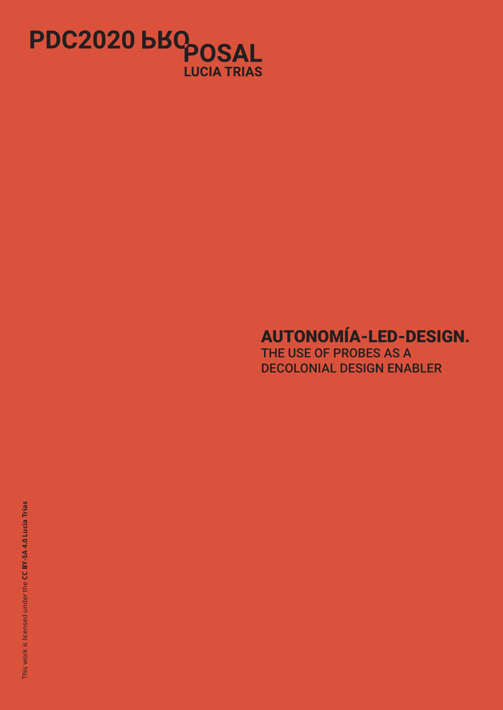

# AUTONOMÍA-LED-DESIGN.

THE USE OF PROBES AS A DECOLONIAL DESIGN ENABLER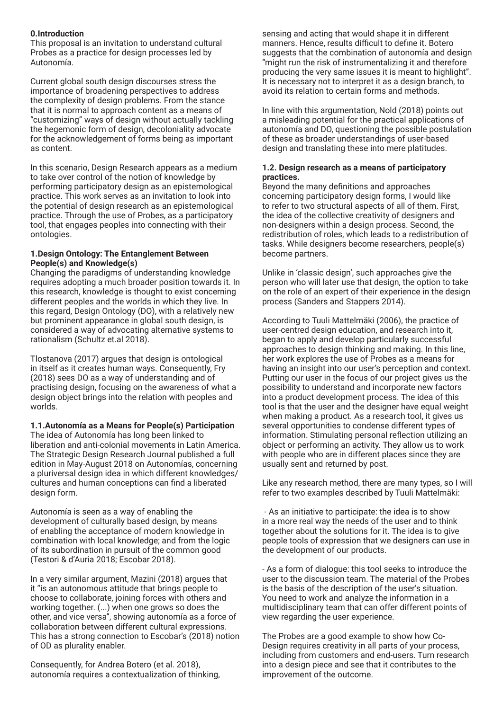# **0.Introduction**

This proposal is an invitation to understand cultural Probes as a practice for design processes led by Autonomía.

Current global south design discourses stress the importance of broadening perspectives to address the complexity of design problems. From the stance that it is normal to approach content as a means of "customizing" ways of design without actually tackling the hegemonic form of design, decoloniality advocate for the acknowledgement of forms being as important as content.

In this scenario, Design Research appears as a medium to take over control of the notion of knowledge by performing participatory design as an epistemological practice. This work serves as an invitation to look into the potential of design research as an epistemological practice. Through the use of Probes, as a participatory tool, that engages peoples into connecting with their ontologies.

## **1.Design Ontology: The Entanglement Between People(s) and Knowledge(s)**

Changing the paradigms of understanding knowledge requires adopting a much broader position towards it. In this research, knowledge is thought to exist concerning different peoples and the worlds in which they live. In this regard, Design Ontology (DO), with a relatively new but prominent appearance in global south design, is considered a way of advocating alternative systems to rationalism (Schultz et.al 2018).

Tlostanova (2017) argues that design is ontological in itself as it creates human ways. Consequently, Fry (2018) sees DO as a way of understanding and of practising design, focusing on the awareness of what a design object brings into the relation with peoples and worlds.

**1.1.Autonomía as a Means for People(s) Participation** The idea of Autonomía has long been linked to liberation and anti-colonial movements in Latin America. The Strategic Design Research Journal published a full edition in May-August 2018 on Autonomías, concerning a pluriversal design idea in which different knowledges/ cultures and human conceptions can find a liberated design form.

Autonomía is seen as a way of enabling the development of culturally based design, by means of enabling the acceptance of modern knowledge in combination with local knowledge; and from the logic of its subordination in pursuit of the common good (Testori & d'Auria 2018; Escobar 2018).

In a very similar argument, Mazini (2018) argues that it "is an autonomous attitude that brings people to choose to collaborate, joining forces with others and working together. (...) when one grows so does the other, and vice versa", showing autonomía as a force of collaboration between different cultural expressions. This has a strong connection to Escobar's (2018) notion of OD as plurality enabler.

Consequently, for Andrea Botero (et al. 2018), autonomía requires a contextualization of thinking, sensing and acting that would shape it in different manners. Hence, results difficult to define it. Botero suggests that the combination of autonomía and design "might run the risk of instrumentalizing it and therefore producing the very same issues it is meant to highlight". It is necessary not to interpret it as a design branch, to avoid its relation to certain forms and methods.

In line with this argumentation, Nold (2018) points out a misleading potential for the practical applications of autonomía and DO, questioning the possible postulation of these as broader understandings of user-based design and translating these into mere platitudes.

# **1.2. Design research as a means of participatory practices.**

Beyond the many definitions and approaches concerning participatory design forms, I would like to refer to two structural aspects of all of them. First, the idea of the collective creativity of designers and non-designers within a design process. Second, the redistribution of roles, which leads to a redistribution of tasks. While designers become researchers, people(s) become partners.

Unlike in 'classic design', such approaches give the person who will later use that design, the option to take on the role of an expert of their experience in the design process (Sanders and Stappers 2014).

According to Tuuli Mattelmäki (2006), the practice of user-centred design education, and research into it, began to apply and develop particularly successful approaches to design thinking and making. In this line, her work explores the use of Probes as a means for having an insight into our user's perception and context. Putting our user in the focus of our project gives us the possibility to understand and incorporate new factors into a product development process. The idea of this tool is that the user and the designer have equal weight when making a product. As a research tool, it gives us several opportunities to condense different types of information. Stimulating personal reflection utilizing an object or performing an activity. They allow us to work with people who are in different places since they are usually sent and returned by post.

Like any research method, there are many types, so I will refer to two examples described by Tuuli Mattelmäki:

 - As an initiative to participate: the idea is to show in a more real way the needs of the user and to think together about the solutions for it. The idea is to give people tools of expression that we designers can use in the development of our products.

- As a form of dialogue: this tool seeks to introduce the user to the discussion team. The material of the Probes is the basis of the description of the user's situation. You need to work and analyze the information in a multidisciplinary team that can offer different points of view regarding the user experience.

The Probes are a good example to show how Co-Design requires creativity in all parts of your process, including from customers and end-users. Turn research into a design piece and see that it contributes to the improvement of the outcome.